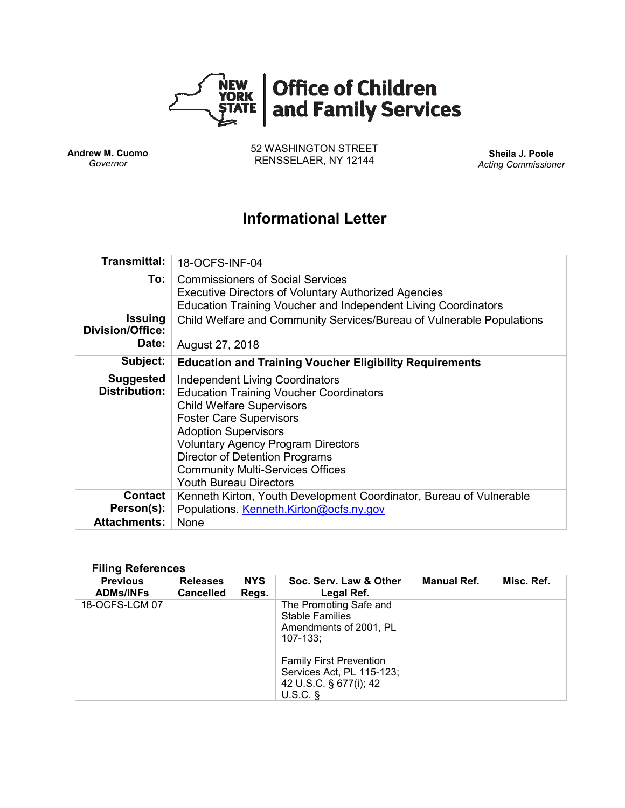

**Andrew M. Cuomo** *Governor*

52 WASHINGTON STREET RENSSELAER, NY 12144 **Sheila J. Poole**

*Acting Commissioner*

# **Informational Letter**

| Transmittal:                              | 18-OCFS-INF-04                                                                                                                                                                                                                                                                                                                                           |  |  |  |  |
|-------------------------------------------|----------------------------------------------------------------------------------------------------------------------------------------------------------------------------------------------------------------------------------------------------------------------------------------------------------------------------------------------------------|--|--|--|--|
| To: l                                     | <b>Commissioners of Social Services</b><br><b>Executive Directors of Voluntary Authorized Agencies</b><br>Education Training Voucher and Independent Living Coordinators                                                                                                                                                                                 |  |  |  |  |
| <b>Issuing</b><br><b>Division/Office:</b> | Child Welfare and Community Services/Bureau of Vulnerable Populations                                                                                                                                                                                                                                                                                    |  |  |  |  |
| Date:                                     | August 27, 2018                                                                                                                                                                                                                                                                                                                                          |  |  |  |  |
| Subject:                                  | <b>Education and Training Voucher Eligibility Requirements</b>                                                                                                                                                                                                                                                                                           |  |  |  |  |
| <b>Suggested</b><br><b>Distribution:</b>  | <b>Independent Living Coordinators</b><br><b>Education Training Voucher Coordinators</b><br><b>Child Welfare Supervisors</b><br><b>Foster Care Supervisors</b><br><b>Adoption Supervisors</b><br><b>Voluntary Agency Program Directors</b><br>Director of Detention Programs<br><b>Community Multi-Services Offices</b><br><b>Youth Bureau Directors</b> |  |  |  |  |
| <b>Contact</b><br>Person(s):              | Kenneth Kirton, Youth Development Coordinator, Bureau of Vulnerable<br>Populations. Kenneth.Kirton@ocfs.ny.gov                                                                                                                                                                                                                                           |  |  |  |  |
| <b>Attachments:</b>                       | None                                                                                                                                                                                                                                                                                                                                                     |  |  |  |  |

#### **Filing References**

| <b>Previous</b><br><b>ADMs/INFs</b> | <b>Releases</b><br><b>Cancelled</b> | <b>NYS</b><br>Regs. | Soc. Serv. Law & Other<br>Legal Ref.                                                                | <b>Manual Ref.</b> | Misc. Ref. |
|-------------------------------------|-------------------------------------|---------------------|-----------------------------------------------------------------------------------------------------|--------------------|------------|
| 18-OCFS-LCM 07                      |                                     |                     | The Promoting Safe and<br><b>Stable Families</b><br>Amendments of 2001, PL<br>$107 - 133$ :         |                    |            |
|                                     |                                     |                     | <b>Family First Prevention</b><br>Services Act, PL 115-123;<br>42 U.S.C. § 677(i); 42<br>$U.S.C.$ § |                    |            |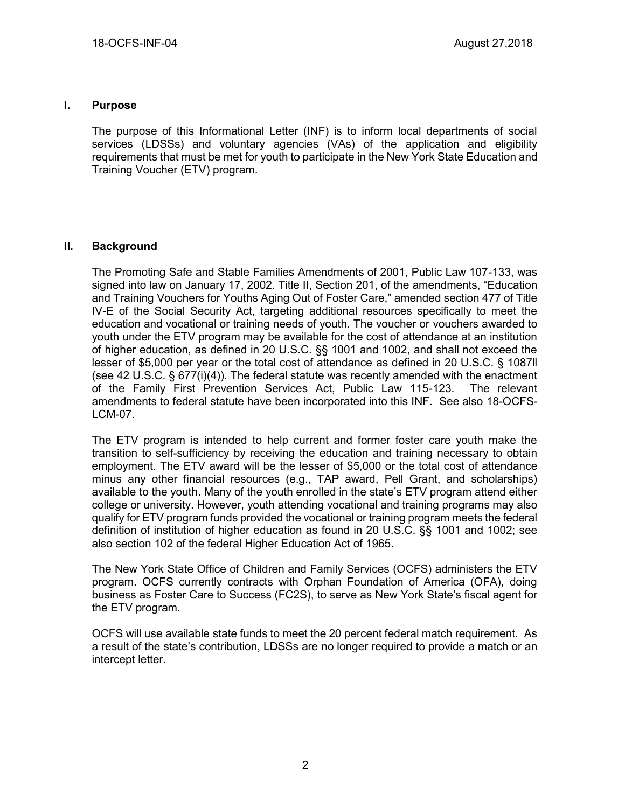#### **I. Purpose**

The purpose of this Informational Letter (INF) is to inform local departments of social services (LDSSs) and voluntary agencies (VAs) of the application and eligibility requirements that must be met for youth to participate in the New York State Education and Training Voucher (ETV) program.

### **II. Background**

The Promoting Safe and Stable Families Amendments of 2001, Public Law 107-133, was signed into law on January 17, 2002. Title II, Section 201, of the amendments, "Education and Training Vouchers for Youths Aging Out of Foster Care," amended section 477 of Title IV-E of the Social Security Act, targeting additional resources specifically to meet the education and vocational or training needs of youth. The voucher or vouchers awarded to youth under the ETV program may be available for the cost of attendance at an institution of higher education, as defined in 20 U.S.C. §§ 1001 and 1002, and shall not exceed the lesser of \$5,000 per year or the total cost of attendance as defined in 20 U.S.C. § 1087ll (see 42 U.S.C. § 677(i)(4)). The federal statute was recently amended with the enactment of the Family First Prevention Services Act, Public Law 115-123. The relevant amendments to federal statute have been incorporated into this INF. See also 18-OCFS-LCM-07.

The ETV program is intended to help current and former foster care youth make the transition to self-sufficiency by receiving the education and training necessary to obtain employment. The ETV award will be the lesser of \$5,000 or the total cost of attendance minus any other financial resources (e.g., TAP award, Pell Grant, and scholarships) available to the youth. Many of the youth enrolled in the state's ETV program attend either college or university. However, youth attending vocational and training programs may also qualify for ETV program funds provided the vocational or training program meets the federal definition of institution of higher education as found in 20 U.S.C. §§ 1001 and 1002; see also section 102 of the federal Higher Education Act of 1965.

The New York State Office of Children and Family Services (OCFS) administers the ETV program. OCFS currently contracts with Orphan Foundation of America (OFA), doing business as Foster Care to Success (FC2S), to serve as New York State's fiscal agent for the ETV program.

OCFS will use available state funds to meet the 20 percent federal match requirement. As a result of the state's contribution, LDSSs are no longer required to provide a match or an intercept letter.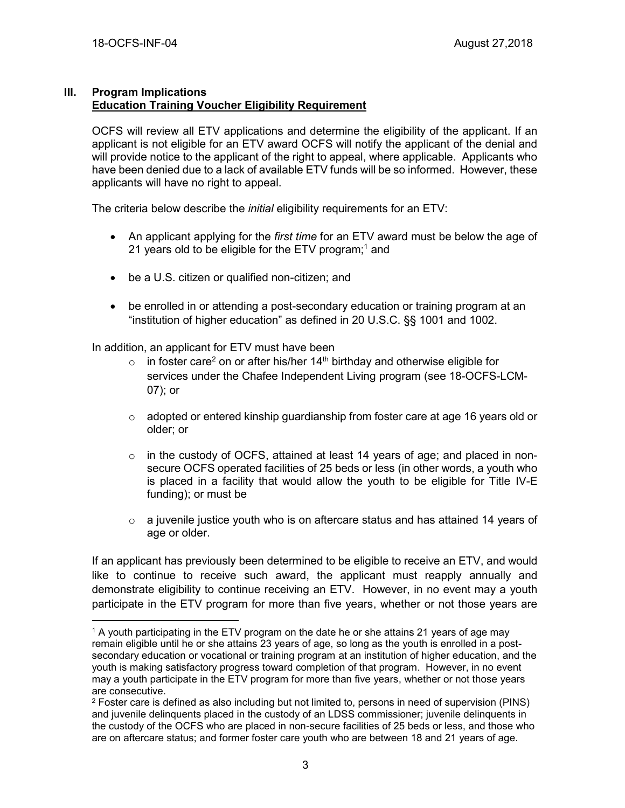#### **III. Program Implications Education Training Voucher Eligibility Requirement**

OCFS will review all ETV applications and determine the eligibility of the applicant. If an applicant is not eligible for an ETV award OCFS will notify the applicant of the denial and will provide notice to the applicant of the right to appeal, where applicable. Applicants who have been denied due to a lack of available ETV funds will be so informed. However, these applicants will have no right to appeal.

The criteria below describe the *initial* eligibility requirements for an ETV:

- An applicant applying for the *first time* for an ETV award must be below the age of 21 years old to be eligible for the ETV program;<sup>1</sup> and
- be a U.S. citizen or qualified non-citizen; and
- be enrolled in or attending a post-secondary education or training program at an "institution of higher education" as defined in 20 U.S.C. §§ 1001 and 1002.

In addition, an applicant for ETV must have been

- $\circ$  in foster care<sup>2</sup> on or after his/her 14<sup>th</sup> birthday and otherwise eligible for services under the Chafee Independent Living program (see 18-OCFS-LCM-07); or
- o adopted or entered kinship guardianship from foster care at age 16 years old or older; or
- o in the custody of OCFS, attained at least 14 years of age; and placed in nonsecure OCFS operated facilities of 25 beds or less (in other words, a youth who is placed in a facility that would allow the youth to be eligible for Title IV-E funding); or must be
- $\circ$  a juvenile justice youth who is on aftercare status and has attained 14 years of age or older.

If an applicant has previously been determined to be eligible to receive an ETV, and would like to continue to receive such award, the applicant must reapply annually and demonstrate eligibility to continue receiving an ETV. However, in no event may a youth participate in the ETV program for more than five years, whether or not those years are

 $\overline{a}$ <sup>1</sup> A youth participating in the ETV program on the date he or she attains 21 years of age may remain eligible until he or she attains 23 years of age, so long as the youth is enrolled in a postsecondary education or vocational or training program at an institution of higher education, and the youth is making satisfactory progress toward completion of that program. However, in no event may a youth participate in the ETV program for more than five years, whether or not those years are consecutive.

 $2$  Foster care is defined as also including but not limited to, persons in need of supervision (PINS) and juvenile delinquents placed in the custody of an LDSS commissioner; juvenile delinquents in the custody of the OCFS who are placed in non-secure facilities of 25 beds or less, and those who are on aftercare status; and former foster care youth who are between 18 and 21 years of age.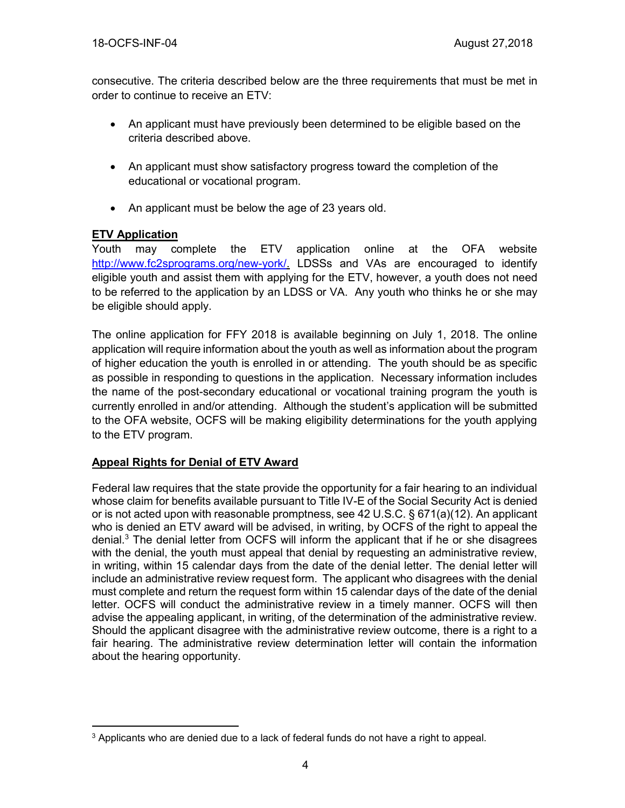consecutive. The criteria described below are the three requirements that must be met in order to continue to receive an ETV:

- An applicant must have previously been determined to be eligible based on the criteria described above.
- An applicant must show satisfactory progress toward the completion of the educational or vocational program.
- An applicant must be below the age of 23 years old.

## **ETV Application**

Youth may complete the ETV application online at the OFA website [http://www.fc2sprograms.org/new-york/.](http://www.fc2sprograms.org/new-york/) LDSSs and VAs are encouraged to identify eligible youth and assist them with applying for the ETV, however, a youth does not need to be referred to the application by an LDSS or VA. Any youth who thinks he or she may be eligible should apply.

The online application for FFY 2018 is available beginning on July 1, 2018. The online application will require information about the youth as well as information about the program of higher education the youth is enrolled in or attending. The youth should be as specific as possible in responding to questions in the application. Necessary information includes the name of the post-secondary educational or vocational training program the youth is currently enrolled in and/or attending. Although the student's application will be submitted to the OFA website, OCFS will be making eligibility determinations for the youth applying to the ETV program.

## **Appeal Rights for Denial of ETV Award**

Federal law requires that the state provide the opportunity for a fair hearing to an individual whose claim for benefits available pursuant to Title IV-E of the Social Security Act is denied or is not acted upon with reasonable promptness, see 42 U.S.C. § 671(a)(12). An applicant who is denied an ETV award will be advised, in writing, by OCFS of the right to appeal the denial. <sup>3</sup> The denial letter from OCFS will inform the applicant that if he or she disagrees with the denial, the youth must appeal that denial by requesting an administrative review, in writing, within 15 calendar days from the date of the denial letter. The denial letter will include an administrative review request form. The applicant who disagrees with the denial must complete and return the request form within 15 calendar days of the date of the denial letter. OCFS will conduct the administrative review in a timely manner. OCFS will then advise the appealing applicant, in writing, of the determination of the administrative review. Should the applicant disagree with the administrative review outcome, there is a right to a fair hearing. The administrative review determination letter will contain the information about the hearing opportunity.

 $\overline{a}$ <sup>3</sup> Applicants who are denied due to a lack of federal funds do not have a right to appeal.